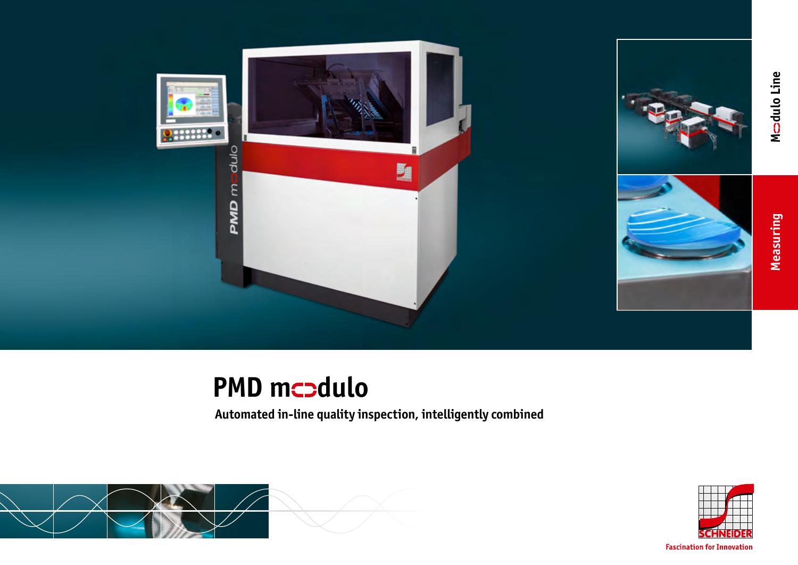

## **PMD mcodulo**

**Automated in-line quality inspection, intelligently combined**





**Fascination for Innovation**